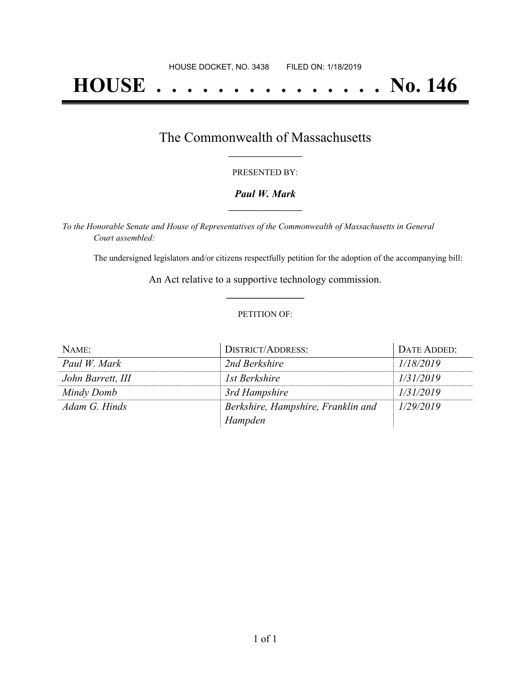# **HOUSE . . . . . . . . . . . . . . . No. 146**

## The Commonwealth of Massachusetts **\_\_\_\_\_\_\_\_\_\_\_\_\_\_\_\_\_**

#### PRESENTED BY:

#### *Paul W. Mark* **\_\_\_\_\_\_\_\_\_\_\_\_\_\_\_\_\_**

*To the Honorable Senate and House of Representatives of the Commonwealth of Massachusetts in General Court assembled:*

The undersigned legislators and/or citizens respectfully petition for the adoption of the accompanying bill:

An Act relative to a supportive technology commission. **\_\_\_\_\_\_\_\_\_\_\_\_\_\_\_**

#### PETITION OF:

| NAME:             | DISTRICT/ADDRESS:                  | DATE ADDED: |
|-------------------|------------------------------------|-------------|
| Paul W. Mark      | 2nd Berkshire                      | 1/18/2019   |
| John Barrett, III | 1st Berkshire                      | 1/31/2019   |
| Mindy Domb        | 3rd Hampshire                      | 1/31/2019   |
| Adam G. Hinds     | Berkshire, Hampshire, Franklin and | 1/29/2019   |
|                   | Hampden                            |             |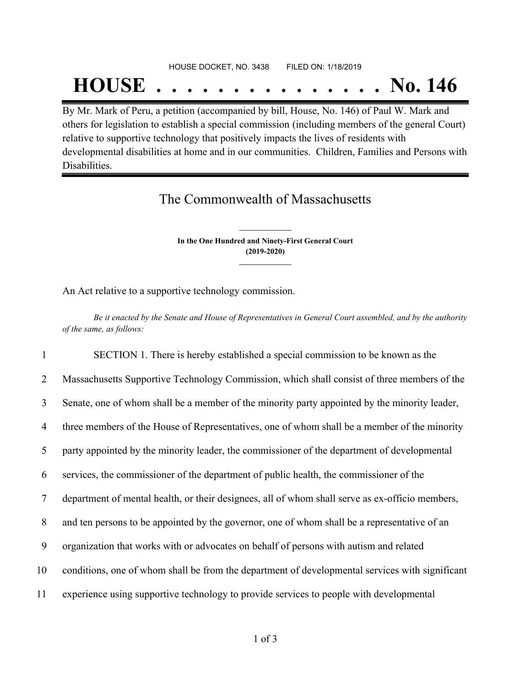#### HOUSE DOCKET, NO. 3438 FILED ON: 1/18/2019

## **HOUSE . . . . . . . . . . . . . . . No. 146**

By Mr. Mark of Peru, a petition (accompanied by bill, House, No. 146) of Paul W. Mark and others for legislation to establish a special commission (including members of the general Court) relative to supportive technology that positively impacts the lives of residents with developmental disabilities at home and in our communities. Children, Families and Persons with Disabilities.

## The Commonwealth of Massachusetts

**In the One Hundred and Ninety-First General Court (2019-2020) \_\_\_\_\_\_\_\_\_\_\_\_\_\_\_**

**\_\_\_\_\_\_\_\_\_\_\_\_\_\_\_**

An Act relative to a supportive technology commission.

Be it enacted by the Senate and House of Representatives in General Court assembled, and by the authority *of the same, as follows:*

 SECTION 1. There is hereby established a special commission to be known as the Massachusetts Supportive Technology Commission, which shall consist of three members of the Senate, one of whom shall be a member of the minority party appointed by the minority leader, 4 three members of the House of Representatives, one of whom shall be a member of the minority party appointed by the minority leader, the commissioner of the department of developmental services, the commissioner of the department of public health, the commissioner of the department of mental health, or their designees, all of whom shall serve as ex-officio members, and ten persons to be appointed by the governor, one of whom shall be a representative of an organization that works with or advocates on behalf of persons with autism and related conditions, one of whom shall be from the department of developmental services with significant experience using supportive technology to provide services to people with developmental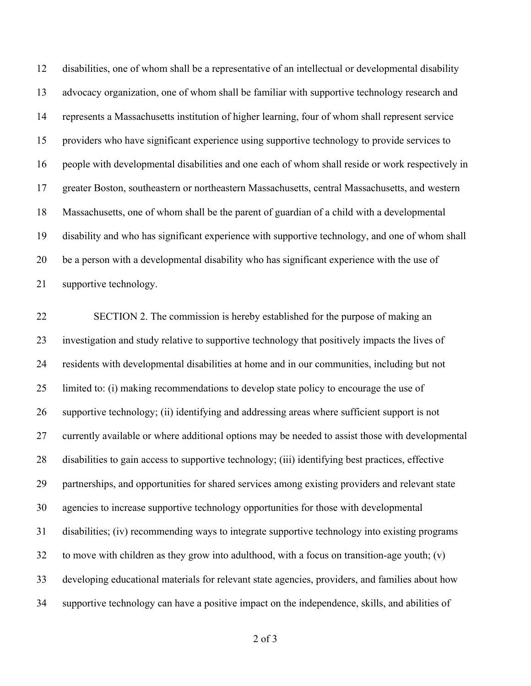disabilities, one of whom shall be a representative of an intellectual or developmental disability advocacy organization, one of whom shall be familiar with supportive technology research and represents a Massachusetts institution of higher learning, four of whom shall represent service providers who have significant experience using supportive technology to provide services to people with developmental disabilities and one each of whom shall reside or work respectively in greater Boston, southeastern or northeastern Massachusetts, central Massachusetts, and western Massachusetts, one of whom shall be the parent of guardian of a child with a developmental disability and who has significant experience with supportive technology, and one of whom shall be a person with a developmental disability who has significant experience with the use of supportive technology.

 SECTION 2. The commission is hereby established for the purpose of making an investigation and study relative to supportive technology that positively impacts the lives of residents with developmental disabilities at home and in our communities, including but not limited to: (i) making recommendations to develop state policy to encourage the use of supportive technology; (ii) identifying and addressing areas where sufficient support is not currently available or where additional options may be needed to assist those with developmental disabilities to gain access to supportive technology; (iii) identifying best practices, effective partnerships, and opportunities for shared services among existing providers and relevant state agencies to increase supportive technology opportunities for those with developmental disabilities; (iv) recommending ways to integrate supportive technology into existing programs to move with children as they grow into adulthood, with a focus on transition-age youth; (v) developing educational materials for relevant state agencies, providers, and families about how supportive technology can have a positive impact on the independence, skills, and abilities of

of 3